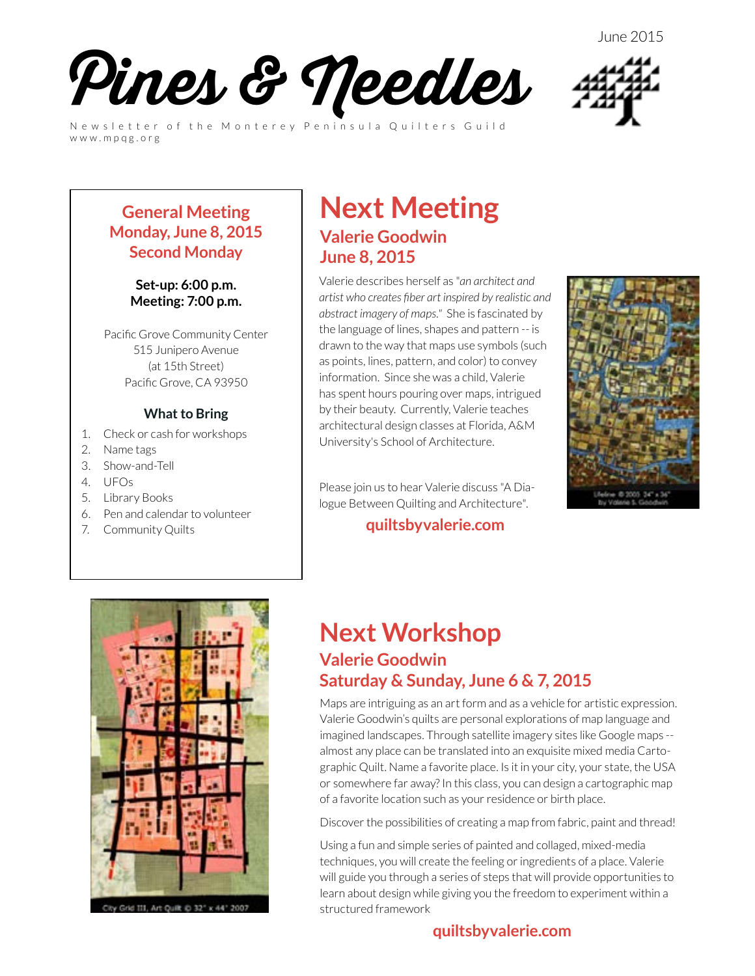June 2015



Newsletter of the Monterey Peninsula Quilters Guild www.mpqg.org



#### **General Meeting Monday, June 8, 2015 Second Monday**

#### **Set-up: 6:00 p.m. Meeting: 7:00 p.m.**

Pacific Grove Community Center 515 Junipero Avenue (at 15th Street) Pacific Grove, CA 93950

#### **What to Bring**

- 1. Check or cash for workshops
- 2. Name tags
- 3. Show-and-Tell
- 4. UFOs
- 5. Library Books
- 6. Pen and calendar to volunteer
- 7. Community Quilts

#### **Next Meeting Valerie Goodwin June 8, 2015**

Valerie describes herself as "*an architect and artist who creates fiber art inspired by realistic and abstract imagery of maps."* She is fascinated by the language of lines, shapes and pattern -- is drawn to the way that maps use symbols (such as points, lines, pattern, and color) to convey information. Since she was a child, Valerie has spent hours pouring over maps, intrigued by their beauty. Currently, Valerie teaches architectural design classes at Florida, A&M University's School of Architecture.

Please join us to hear Valerie discuss "A Dialogue Between Quilting and Architecture".

#### **[quiltsbyvalerie.com](http://quiltsbyvalerie.com)**







#### **Next Workshop Valerie Goodwin Saturday & Sunday, June 6 & 7, 2015**

Maps are intriguing as an art form and as a vehicle for artistic expression. Valerie Goodwin's quilts are personal explorations of map language and imagined landscapes. Through satellite imagery sites like Google maps - almost any place can be translated into an exquisite mixed media Cartographic Quilt. Name a favorite place. Is it in your city, your state, the USA or somewhere far away? In this class, you can design a cartographic map of a favorite location such as your residence or birth place.

Discover the possibilities of creating a map from fabric, paint and thread!

Using a fun and simple series of painted and collaged, mixed-media techniques, you will create the feeling or ingredients of a place. Valerie will guide you through a series of steps that will provide opportunities to learn about design while giving you the freedom to experiment within a structured framework

#### **[quiltsbyvalerie.com](http://www.quiltsbyvalerie.com)**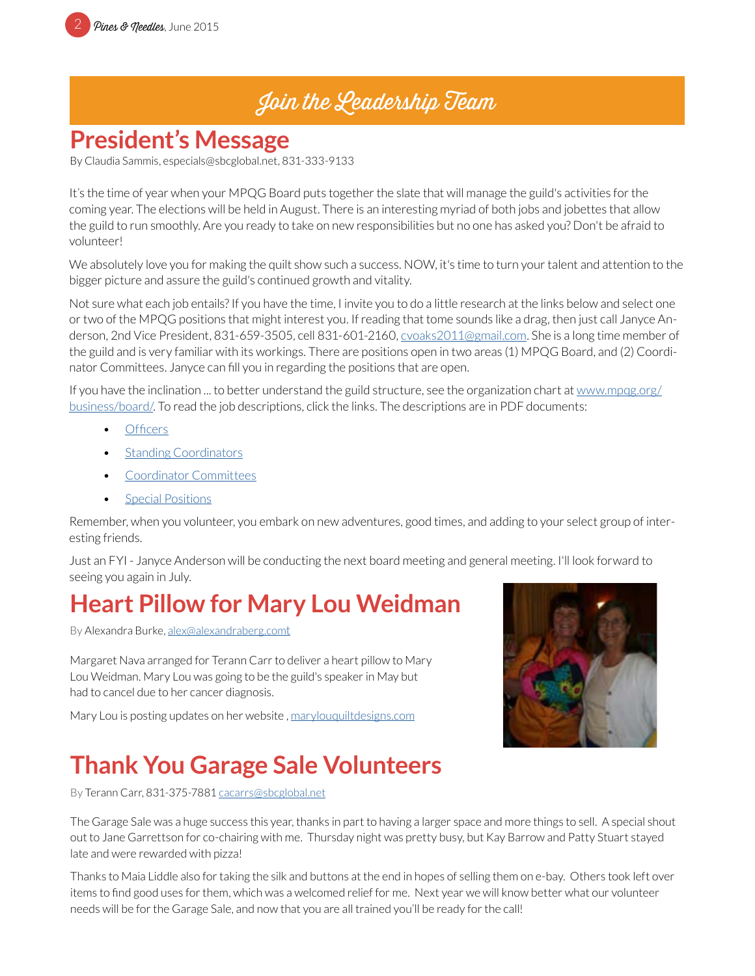### Join the Leadership Team

### **President's Message**

By Claudia Sammis, especials@sbcglobal.net, 831-333-9133

It's the time of year when your MPQG Board puts together the slate that will manage the guild's activities for the coming year. The elections will be held in August. There is an interesting myriad of both jobs and jobettes that allow the guild to run smoothly. Are you ready to take on new responsibilities but no one has asked you? Don't be afraid to volunteer!

We absolutely love you for making the quilt show such a success. NOW, it's time to turn your talent and attention to the bigger picture and assure the guild's continued growth and vitality.

Not sure what each job entails? If you have the time, I invite you to do a little research at the links below and select one or two of the MPQG positions that might interest you. If reading that tome sounds like a drag, then just call Janyce Anderson, 2nd Vice President, 831-659-3505, cell 831-601-2160, [cvoaks2011@gmail.com](mailto:cvoaks2011%40gmail.com?subject=MPQG%20Leadership%20Team). She is a long time member of the guild and is very familiar with its workings. There are positions open in two areas (1) MPQG Board, and (2) Coordinator Committees. Janyce can fill you in regarding the positions that are open.

If you have the inclination ... to better understand the guild structure, see the organization chart at [www.mpqg.org/](http://www.mpqg.org/business/board/) [business/board/](http://www.mpqg.org/business/board/). To read the job descriptions, click the links. The descriptions are in PDF documents:

- [Officers](http://www.mpqg.org/media/uploads/2014/07/24/files/Officers_final_master_2014_web_site.pdf)
- **[Standing Coordinators](http://www.mpqg.org/media/uploads/2014/07/24/files/Master_Coordinator_Job_Descriptions_2014-2015_web_site.pdf)**
- [Coordinator Committees](http://www.mpqg.org/media/uploads/2014/07/24/files/Coordinator_Committee_Members_Web_Site_2.pdf)
- **[Special Positions](http://www.mpqg.org/media/uploads/2014/07/24/files/Special_positions_final_web_site_2.pdf)**

Remember, when you volunteer, you embark on new adventures, good times, and adding to your select group of interesting friends.

Just an FYI - Janyce Anderson will be conducting the next board meeting and general meeting. I'll look forward to seeing you again in July.

### **Heart Pillow for Mary Lou Weidman**

By Alexandra Burke, [alex@alexandraberg.com](mailto:alex%40alexandraberg.com?subject=MPQG%20Newsletter)t

Margaret Nava arranged for Terann Carr to deliver a heart pillow to Mary Lou Weidman. Mary Lou was going to be the guild's speaker in May but had to cancel due to her cancer diagnosis.

Mary Lou is posting updates on her website , [marylouquiltdesigns.com](http://marylouquiltdesigns.com)

### **Thank You Garage Sale Volunteers**

By Terann Carr, 831-375-7881 cacarrs@sbcglobal.net

The Garage Sale was a huge success this year, thanks in part to having a larger space and more things to sell. A special shout out to Jane Garrettson for co-chairing with me. Thursday night was pretty busy, but Kay Barrow and Patty Stuart stayed late and were rewarded with pizza!

Thanks to Maia Liddle also for taking the silk and buttons at the end in hopes of selling them on e-bay. Others took left over items to find good uses for them, which was a welcomed relief for me. Next year we will know better what our volunteer needs will be for the Garage Sale, and now that you are all trained you'll be ready for the call!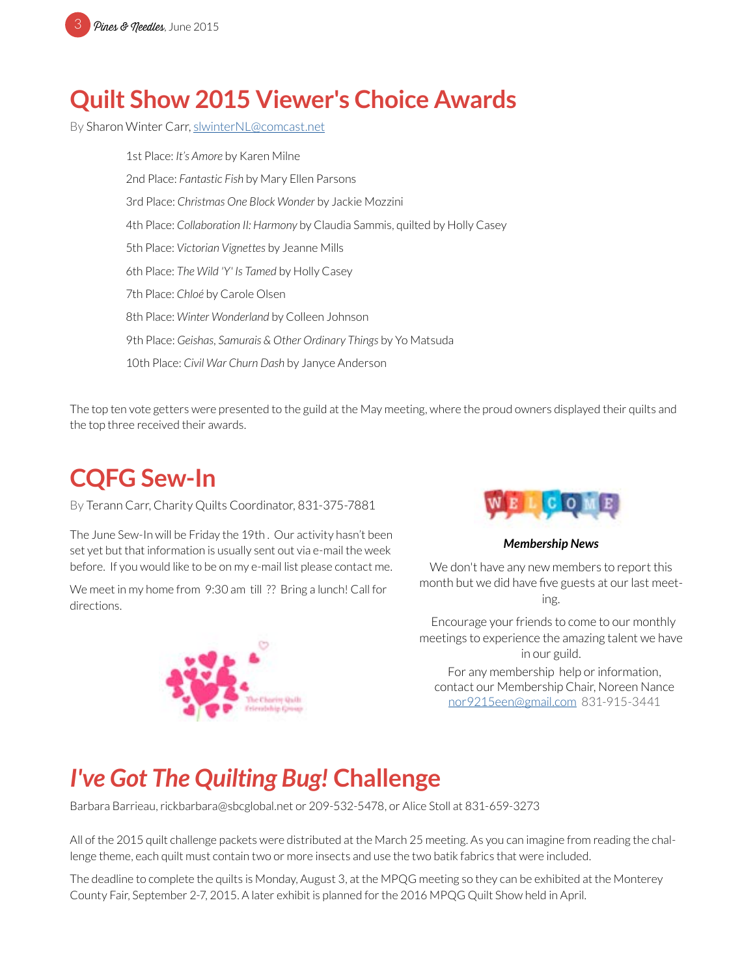

### **Quilt Show 2015 Viewer's Choice Awards**

By Sharon Winter Carr, [slwinterNL@comcast.net](mailto:slwinterNL%40comcast.net?subject=MPQG%20Viewer%27s%20Choice%20Awards)

1st Place: *It's Amore* by Karen Milne 2nd Place: *Fantastic Fish* by Mary Ellen Parsons 3rd Place: *Christmas One Block Wonder* by Jackie Mozzini 4th Place: *Collaboration II: Harmony* by Claudia Sammis, quilted by Holly Casey 5th Place: *Victorian Vignettes* by Jeanne Mills 6th Place: *The Wild 'Y' Is Tamed* by Holly Casey 7th Place: *Chloé* by Carole Olsen 8th Place: *Winter Wonderland* by Colleen Johnson 9th Place: *Geishas, Samurais & Other Ordinary Things* by Yo Matsuda 10th Place: *Civil War Churn Dash* by Janyce Anderson

The top ten vote getters were presented to the guild at the May meeting, where the proud owners displayed their quilts and the top three received their awards.

#### **CQFG Sew-In**

By Terann Carr, Charity Quilts Coordinator, 831-375-7881

The June Sew-In will be Friday the 19th . Our activity hasn't been set yet but that information is usually sent out via e-mail the week before. If you would like to be on my e-mail list please contact me.

We meet in my home from 9:30 am till ?? Bring a lunch! Call for directions.





*Membership News*

We don't have any new members to report this month but we did have five guests at our last meeting.

 Encourage your friends to come to our monthly meetings to experience the amazing talent we have in our guild.

For any membership help or information, contact our Membership Chair, Noreen Nance [nor9215een@gmail.com](mailto:nor9215een%40gmail.com?subject=MPQG%20Membership) 831-915-3441

### *I've Got The Quilting Bug!* **Challenge**

Barbara Barrieau, rickbarbara@sbcglobal.net or 209-532-5478, or Alice Stoll at 831-659-3273

All of the 2015 quilt challenge packets were distributed at the March 25 meeting. As you can imagine from reading the challenge theme, each quilt must contain two or more insects and use the two batik fabrics that were included.

The deadline to complete the quilts is Monday, August 3, at the MPQG meeting so they can be exhibited at the Monterey County Fair, September 2-7, 2015. A later exhibit is planned for the 2016 MPQG Quilt Show held in April.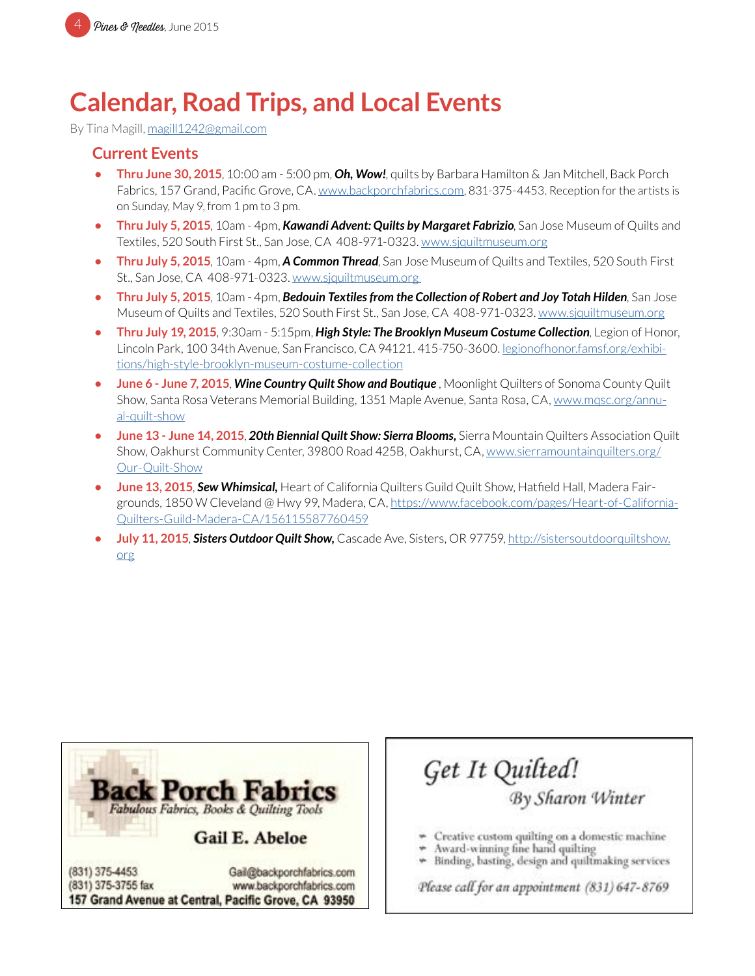# **Calendar, Road Trips, and Local Events**

By Tina Magill, [magill1242@gmail.com](mailto:magill1242%40gmail.com?subject=MPQG%20Calendar)

#### **Current Events**

- **• Thru June 30, 2015**, 10:00 am 5:00 pm, *Oh, Wow!*, quilts by Barbara Hamilton & Jan Mitchell, Back Porch Fabrics, 157 Grand, Pacific Grove, CA. [www.backporchfabrics.com](http://www.backporchfabrics.com), 831-375-4453. Reception for the artists is on Sunday, May 9, from 1 pm to 3 pm.
- **• Thru July 5, 2015**, 10am 4pm, *Kawandi Advent: Quilts by Margaret Fabrizio*, San Jose Museum of Quilts and Textiles, 520 South First St., San Jose, CA 408-971-0323. [www.sjquiltmuseum.or](http://www.sjquiltmuseum.org)g
- **• Thru July 5, 2015**, 10am 4pm, *A Common Thread*, San Jose Museum of Quilts and Textiles, 520 South First St., San Jose, CA 408-971-0323. [www.sjquiltmuseum.org](http://www.sjquiltmuseum.org)
- **• Thru July 5, 2015**, 10am 4pm, *Bedouin Textiles from the Collection of Robert and Joy Totah Hilden*, San Jose Museum of Quilts and Textiles, 520 South First St., San Jose, CA 408-971-0323. [www.sjquiltmuseum.or](http://www.sjquiltmuseum.org)g
- **• Thru July 19, 2015**, 9:30am 5:15pm, *High Style: The Brooklyn Museum Costume Collection*, Legion of Honor, Lincoln Park, 100 34th Avenue, San Francisco, CA 94121. 415-750-3600. l[egionofhonor.famsf.org/exhibi](http://legionofhonor.famsf.org/exhibitions/high-style-brooklyn-museum-costume-collection)[tions/high-style-brooklyn-museum-costume-collection](http://legionofhonor.famsf.org/exhibitions/high-style-brooklyn-museum-costume-collection)
- **• June 6 June 7, 2015**, *Wine Country Quilt Show and Boutique* , Moonlight Quilters of Sonoma County Quilt Show, Santa Rosa Veterans Memorial Building, 1351 Maple Avenue, Santa Rosa, CA, [www.mqsc.org/annu](http://www.mqsc.org/annual-quilt-show)[al-quilt-show](http://www.mqsc.org/annual-quilt-show)
- **• June 13 June 14, 2015**, *20th Biennial Quilt Show: Sierra Blooms,* Sierra Mountain Quilters Association Quilt Show, Oakhurst Community Center, 39800 Road 425B, Oakhurst, CA, [www.sierramountainquilters.org/](http://www.sierramountainquilters.org/Our-Quilt-Show) [Our-Quilt-Show](http://www.sierramountainquilters.org/Our-Quilt-Show)
- **June 13, 2015, Sew Whimsical,** Heart of California Quilters Guild Quilt Show, Hatfield Hall, Madera Fairgrounds, 1850 W Cleveland @ Hwy 99, Madera, CA, [https://www.facebook.com/pages/Heart-of-California-](https://www.facebook.com/pages/Heart-of-California-Quilters-Guild-Madera-CA/156115587760459)[Quilters-Guild-Madera-CA/156115587760459](https://www.facebook.com/pages/Heart-of-California-Quilters-Guild-Madera-CA/156115587760459)
- **• July 11, 2015**, *Sisters Outdoor Quilt Show,* Cascade Ave, Sisters, OR 97759, [http://sistersoutdoorquiltshow.](http://sistersoutdoorquiltshow.org) [org](http://sistersoutdoorquiltshow.org)



Get It Quilted!

By Sharon Winter

- Creative custom quilting on a domestic machine
- Award-winning fine hand quilting
- Binding, basting, design and quiltmaking services

Please call for an appointment (831) 647-8769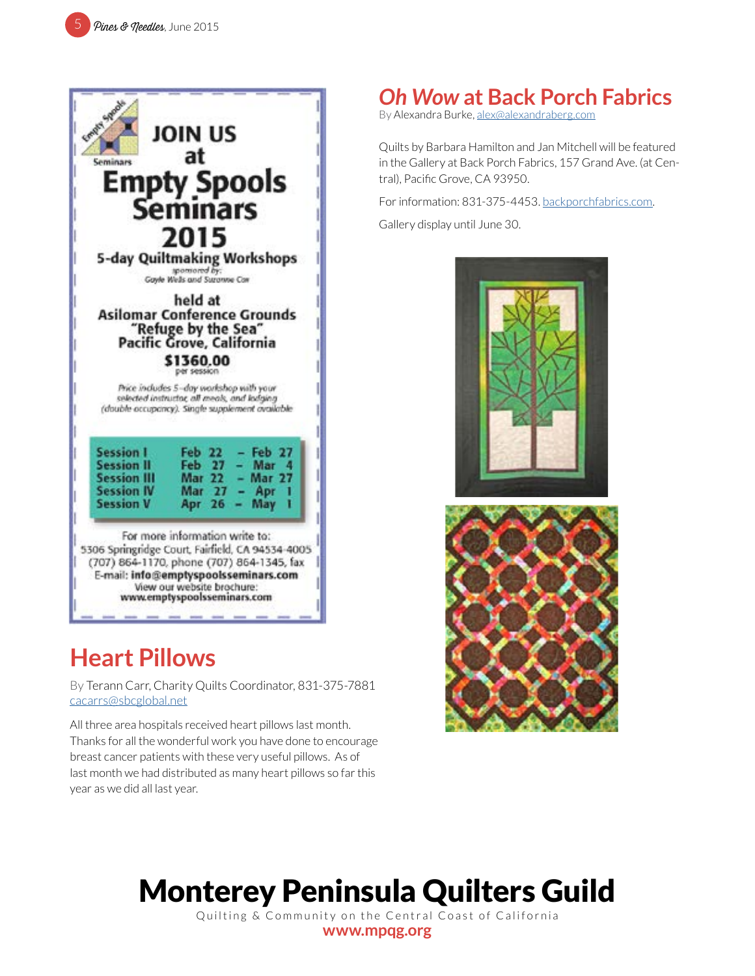

### **Heart Pillows**

By Terann Carr, Charity Quilts Coordinator, 831-375-7881 cacarrs@sbcglobal.net

All three area hospitals received heart pillows last month. Thanks for all the wonderful work you have done to encourage breast cancer patients with these very useful pillows. As of last month we had distributed as many heart pillows so far this year as we did all last year.

# *Oh Wow* **at Back Porch Fabrics**

By Alexandra Burke, [alex@alexandraberg.com](mailto:alex%40alexandraberg.com?subject=MPQG%20Newsletter)

Quilts by Barbara Hamilton and Jan Mitchell will be featured in the Gallery at Back Porch Fabrics, 157 Grand Ave. (at Central), Pacific Grove, CA 93950.

For information: 831-375-4453. [backporchfabrics.com](http://backporchfabrics.com).

Gallery display until June 30.





# Monterey Peninsula Quilters Guild

Quilting & Community on the Central Coast of California **[www.mpqg.org](http://www.mpqg.org)**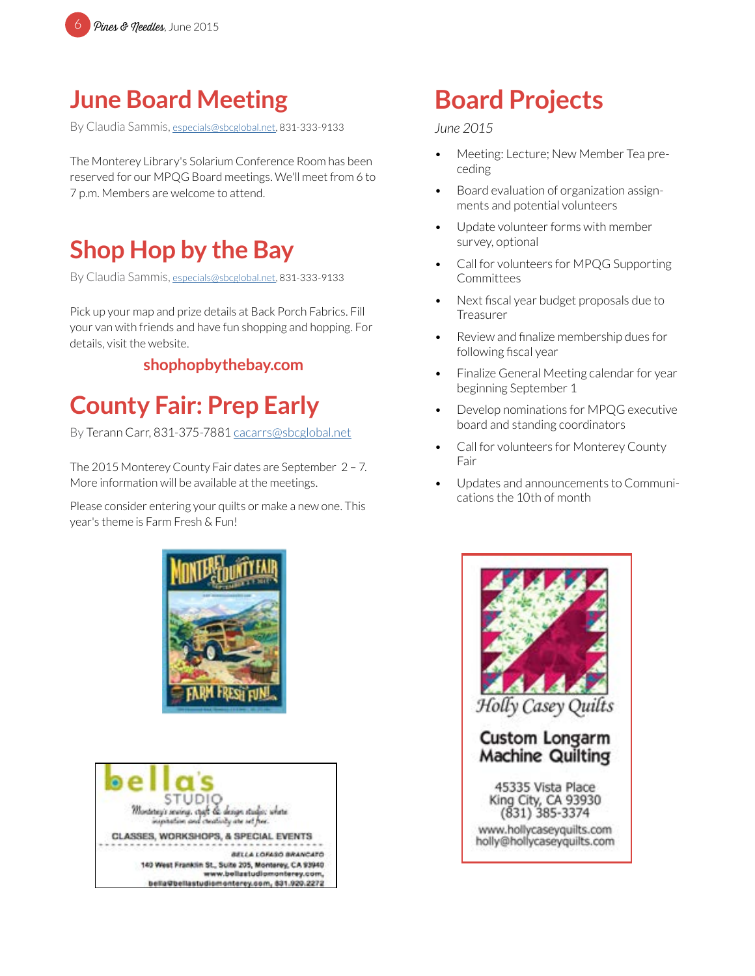

### **June Board Meeting**

By Claudia Sammis, [especials@sbcglobal.net](mailto:especials%40sbcglobal.net?subject=MPQG), 831-333-9133

The Monterey Library's Solarium Conference Room has been reserved for our MPQG Board meetings. We'll meet from 6 to 7 p.m. Members are welcome to attend.

### **Shop Hop by the Bay**

By Claudia Sammis, [especials@sbcglobal.net](mailto:especials%40sbcglobal.net?subject=MPQG), 831-333-9133

Pick up your map and prize details at Back Porch Fabrics. Fill your van with friends and have fun shopping and hopping. For details, visit the website.

#### **[shophopbythebay.com](http://shophopbythebay.com)**

### **County Fair: Prep Early**

By Terann Carr, 831-375-7881 cacarrs@sbcglobal.net

The 2015 Monterey County Fair dates are September 2 – 7. More information will be available at the meetings.

Please consider entering your quilts or make a new one. This year's theme is Farm Fresh & Fun!





# **Board Projects**

#### *June 2015*

- Meeting: Lecture; New Member Tea preceding
- Board evaluation of organization assignments and potential volunteers
- Update volunteer forms with member survey, optional
- Call for volunteers for MPQG Supporting Committees
- Next fiscal year budget proposals due to Treasurer
- Review and finalize membership dues for following fiscal year
- Finalize General Meeting calendar for year beginning September 1
- Develop nominations for MPQG executive board and standing coordinators
- Call for volunteers for Monterey County Fair
- Updates and announcements to Communications the 10th of month

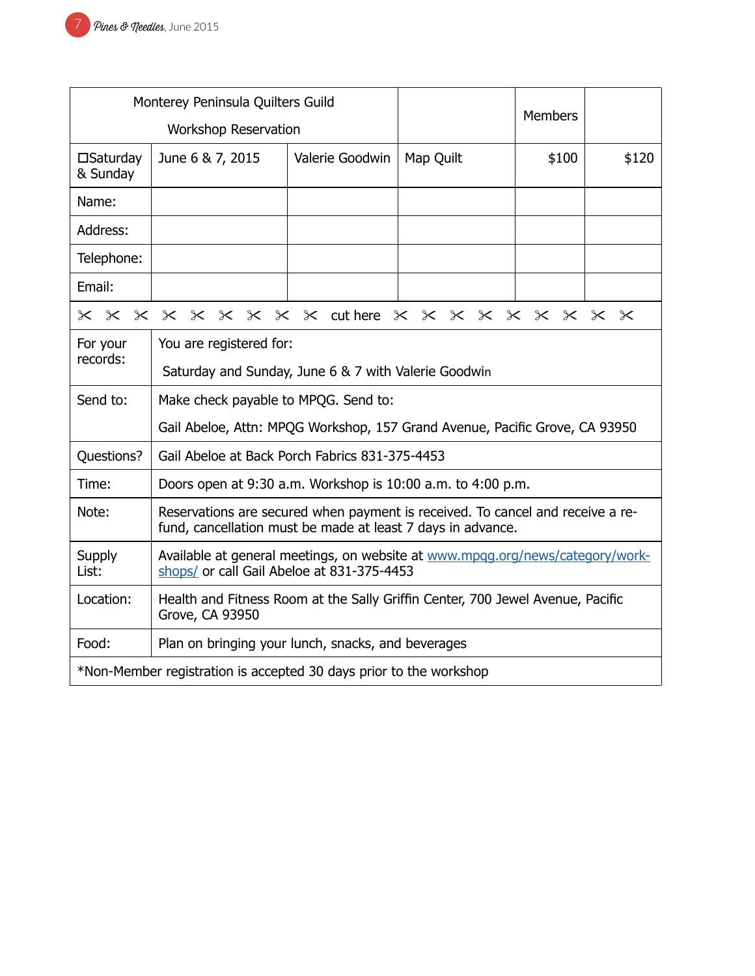| Monterey Peninsula Quilters Guild                                  |                                                                                                                                               |                 |           |                |       |  |
|--------------------------------------------------------------------|-----------------------------------------------------------------------------------------------------------------------------------------------|-----------------|-----------|----------------|-------|--|
| Workshop Reservation                                               |                                                                                                                                               |                 |           | <b>Members</b> |       |  |
| $\square$ Saturday<br>& Sunday                                     | June 6 & 7, 2015                                                                                                                              | Valerie Goodwin | Map Quilt | \$100          | \$120 |  |
| Name:                                                              |                                                                                                                                               |                 |           |                |       |  |
| Address:                                                           |                                                                                                                                               |                 |           |                |       |  |
| Telephone:                                                         |                                                                                                                                               |                 |           |                |       |  |
| Email:                                                             |                                                                                                                                               |                 |           |                |       |  |
| x x x x x x x x x duthere x x x x x x x x x x                      |                                                                                                                                               |                 |           |                |       |  |
| For your<br>records:                                               | You are registered for:                                                                                                                       |                 |           |                |       |  |
|                                                                    | Saturday and Sunday, June 6 & 7 with Valerie Goodwin                                                                                          |                 |           |                |       |  |
| Send to:                                                           | Make check payable to MPQG. Send to:                                                                                                          |                 |           |                |       |  |
|                                                                    | Gail Abeloe, Attn: MPQG Workshop, 157 Grand Avenue, Pacific Grove, CA 93950                                                                   |                 |           |                |       |  |
| Questions?                                                         | Gail Abeloe at Back Porch Fabrics 831-375-4453                                                                                                |                 |           |                |       |  |
| Time:                                                              | Doors open at 9:30 a.m. Workshop is 10:00 a.m. to 4:00 p.m.                                                                                   |                 |           |                |       |  |
| Note:                                                              | Reservations are secured when payment is received. To cancel and receive a re-<br>fund, cancellation must be made at least 7 days in advance. |                 |           |                |       |  |
| <b>Supply</b><br>List:                                             | Available at general meetings, on website at www.mpgg.org/news/category/work-<br>shops/ or call Gail Abeloe at 831-375-4453                   |                 |           |                |       |  |
| Location:                                                          | Health and Fitness Room at the Sally Griffin Center, 700 Jewel Avenue, Pacific<br>Grove, CA 93950                                             |                 |           |                |       |  |
| Food:                                                              | Plan on bringing your lunch, snacks, and beverages                                                                                            |                 |           |                |       |  |
| *Non-Member registration is accepted 30 days prior to the workshop |                                                                                                                                               |                 |           |                |       |  |